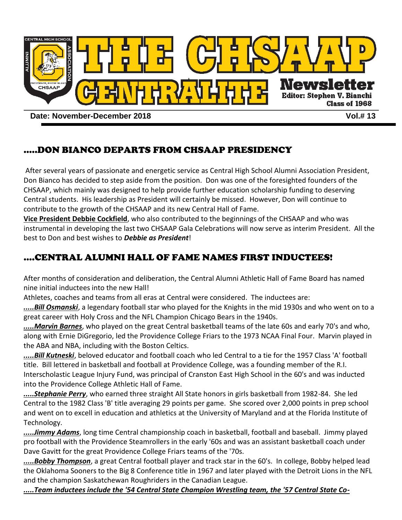

**Date: November-December 2018 Vol.# 13**

## .....DON BIANCO DEPARTS FROM CHSAAP PRESIDENCY

After several years of passionate and energetic service as Central High School Alumni Association President, Don Bianco has decided to step aside from the position. Don was one of the foresighted founders of the CHSAAP, which mainly was designed to help provide further education scholarship funding to deserving Central students. His leadership as President will certainly be missed. However, Don will continue to contribute to the growth of the CHSAAP and its new Central Hall of Fame.

**Vice President Debbie Cockfield**, who also contributed to the beginnings of the CHSAAP and who was instrumental in developing the last two CHSAAP Gala Celebrations will now serve as interim President. All the best to Don and best wishes to *Debbie as President*!

# ....CENTRAL ALUMNI HALL OF FAME NAMES FIRST INDUCTEES!

After months of consideration and deliberation, the Central Alumni Athletic Hall of Fame Board has named nine initial inductees into the new Hall!

Athletes, coaches and teams from all eras at Central were considered. The inductees are:

*.....Bill Osmanski*, a legendary football star who played for the Knights in the mid 1930s and who went on to a great career with Holy Cross and the NFL Champion Chicago Bears in the 1940s.

*.....Marvin Barnes*, who played on the great Central basketball teams of the late 60s and early 70's and who, along with Ernie DiGregorio, led the Providence College Friars to the 1973 NCAA Final Four. Marvin played in the ABA and NBA, including with the Boston Celtics.

*.....Bill Kutneski*, beloved educator and football coach who led Central to a tie for the 1957 Class 'A' football title. Bill lettered in basketball and football at Providence College, was a founding member of the R.I. Interscholastic League Injury Fund, was principal of Cranston East High School in the 60's and was inducted into the Providence College Athletic Hall of Fame.

*.....Stephanie Perry*, who earned three straight All State honors in girls basketball from 1982-84. She led Central to the 1982 Class 'B' title averaging 29 points per game. She scored over 2,000 points in prep school and went on to excell in education and athletics at the University of Maryland and at the Florida Institute of Technology.

*.....Jimmy Adams*, long time Central championship coach in basketball, football and baseball. Jimmy played pro football with the Providence Steamrollers in the early '60s and was an assistant basketball coach under Dave Gavitt for the great Providence College Friars teams of the '70s.

*.....Bobby Thompson*, a great Central football player and track star in the 60's. In college, Bobby helped lead the Oklahoma Sooners to the Big 8 Conference title in 1967 and later played with the Detroit Lions in the NFL and the champion Saskatchewan Roughriders in the Canadian League.

*.....Team inductees include the '54 Central State Champion Wrestling team, the '57 Central State Co-*